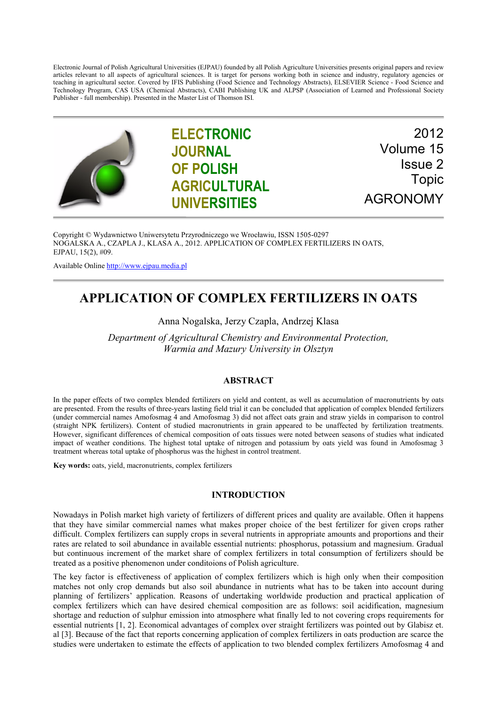Electronic Journal of Polish Agricultural Universities (EJPAU) founded by all Polish Agriculture Universities presents original papers and review articles relevant to all aspects of agricultural sciences. It is target for persons working both in science and industry, regulatory agencies or teaching in agricultural sector. Covered by IFIS Publishing (Food Science and Technology Abstracts), ELSEVIER Science - Food Science and Technology Program, CAS USA (Chemical Abstracts), CABI Publishing UK and ALPSP (Association of Learned and Professional Society Publisher - full membership). Presented in the Master List of Thomson ISI.



**ELECTRONIC JOURNAL OF POLISH AGRICULTURAL UNIVERSITIES**

2012 Volume 15 Issue 2 Topic AGRONOMY

Copyright © Wydawnictwo Uniwersytetu Przyrodniczego we Wrocławiu, ISSN 1505-0297 NOGALSKA A., CZAPLA J., KLASA A., 2012. APPLICATION OF COMPLEX FERTILIZERS IN OATS, EJPAU, 15(2), #09.

Available Online [http://www.ejpau.media.pl](http://www.ejpau.media.pl/)

# **APPLICATION OF COMPLEX FERTILIZERS IN OATS**

Anna Nogalska, Jerzy Czapla, Andrzej Klasa

*Department of Agricultural Chemistry and Environmental Protection, Warmia and Mazury University in Olsztyn*

# **ABSTRACT**

In the paper effects of two complex blended fertilizers on yield and content, as well as accumulation of macronutrients by oats are presented. From the results of three-years lasting field trial it can be concluded that application of complex blended fertilizers (under commercial names Amofosmag 4 and Amofosmag 3) did not affect oats grain and straw yields in comparison to control (straight NPK fertilizers). Content of studied macronutrients in grain appeared to be unaffected by fertilization treatments. However, significant differences of chemical composition of oats tissues were noted between seasons of studies what indicated impact of weather conditions. The highest total uptake of nitrogen and potassium by oats yield was found in Amofosmag 3 treatment whereas total uptake of phosphorus was the highest in control treatment.

**Key words:** oats, yield, macronutrients, complex fertilizers

# **INTRODUCTION**

Nowadays in Polish market high variety of fertilizers of different prices and quality are available. Often it happens that they have similar commercial names what makes proper choice of the best fertilizer for given crops rather difficult. Complex fertilizers can supply crops in several nutrients in appropriate amounts and proportions and their rates are related to soil abundance in available essential nutrients: phosphorus, potassium and magnesium. Gradual but continuous increment of the market share of complex fertilizers in total consumption of fertilizers should be treated as a positive phenomenon under conditoions of Polish agriculture.

The key factor is effectiveness of application of complex fertilizers which is high only when their composition matches not only crop demands but also soil abundance in nutrients what has to be taken into account during planning of fertilizers' application. Reasons of undertaking worldwide production and practical application of complex fertilizers which can have desired chemical composition are as follows: soil acidification, magnesium shortage and reduction of sulphur emission into atmosphere what finally led to not covering crops requirements for essential nutrients [1, 2]. Economical advantages of complex over straight fertilizers was pointed out by Glabisz et. al [3]. Because of the fact that reports concerning application of complex fertilizers in oats production are scarce the studies were undertaken to estimate the effects of application to two blended complex fertilizers Amofosmag 4 and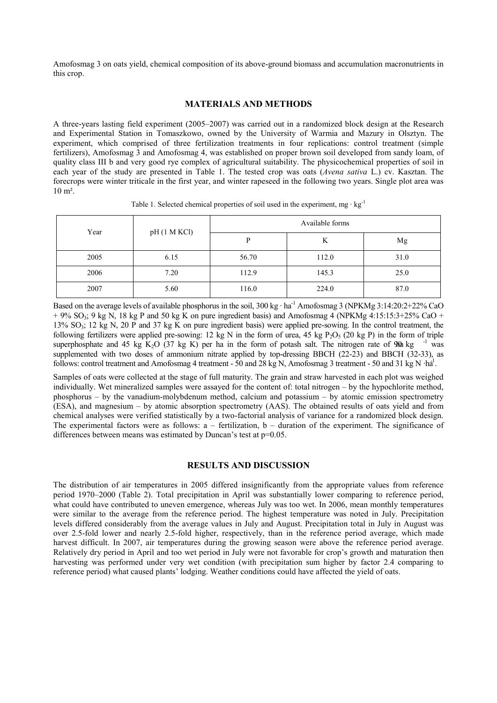Amofosmag 3 on oats yield, chemical composition of its above-ground biomass and accumulation macronutrients in this crop.

#### **MATERIALS AND METHODS**

A three-years lasting field experiment (2005–2007) was carried out in a randomized block design at the Research and Experimental Station in Tomaszkowo, owned by the University of Warmia and Mazury in Olsztyn. The experiment, which comprised of three fertilization treatments in four replications: control treatment (simple fertilizers), Amofosmag 3 and Amofosmag 4, was established on proper brown soil developed from sandy loam, of quality class III b and very good rye complex of agricultural suitability. The physicochemical properties of soil in each year of the study are presented in Table 1. The tested crop was oats (*Avena sativa* L.) cv. Kasztan. The forecrops were winter triticale in the first year, and winter rapeseed in the following two years. Single plot area was 10 m².

| Year | pH (1 M KCl) | Available forms |       |      |  |  |
|------|--------------|-----------------|-------|------|--|--|
|      |              | D               | K     | Mg   |  |  |
| 2005 | 6.15         | 56.70           | 112.0 | 31.0 |  |  |
| 2006 | 7.20         | 112.9           | 145.3 | 25.0 |  |  |
| 2007 | 5.60         | 116.0           | 224.0 | 87.0 |  |  |

Table 1. Selected chemical properties of soil used in the experiment, mg  $\cdot$  kg<sup>-1</sup>

Based on the average levels of available phosphorus in the soil,  $300 \text{ kg} \cdot \text{ha}^{-1}$  Amofosmag 3 (NPKMg 3:14:20:2+22% CaO  $+ 9\%$  SO<sub>3</sub>; 9 kg N, 18 kg P and 50 kg K on pure ingredient basis) and Amofosmag 4 (NPKMg 4:15:15:3+25% CaO + 13%  $SO_3$ ; 12 kg N, 20 P and 37 kg K on pure ingredient basis) were applied pre-sowing. In the control treatment, the following fertilizers were applied pre-sowing: 12 kg N in the form of urea, 45 kg P<sub>2</sub>O<sub>5</sub> (20 kg P) in the form of triple superphosphate and 45 kg K<sub>2</sub>O<sub>5</sub> (37 kg K) per ha in the form of potash salt. The nitrogen rate o superphosphate and 45 kg K<sub>2</sub>O (37 kg K) per ha in the form of potash salt. The nitrogen rate of 90 kg supplemented with two doses of ammonium nitrate applied by top-dressing BBCH (22-23) and BBCH (32-33), as follows: control treatment and Amofosmag 4 treatment - 50 and 28 kg N, Amofosmag 3 treatment - 50 and 31 kg N  $\cdot$ ha<sup>1</sup>.

Samples of oats were collected at the stage of full maturity. The grain and straw harvested in each plot was weighed individually. Wet mineralized samples were assayed for the content of: total nitrogen – by the hypochlorite method, phosphorus – by the vanadium-molybdenum method, calcium and potassium – by atomic emission spectrometry (ESA), and magnesium – by atomic absorption spectrometry (AAS). The obtained results of oats yield and from chemical analyses were verified statistically by a two-factorial analysis of variance for a randomized block design. The experimental factors were as follows:  $a$  – fertilization,  $b$  – duration of the experiment. The significance of differences between means was estimated by Duncan's test at  $p=0.05$ .

## **RESULTS AND DISCUSSION**

The distribution of air temperatures in 2005 differed insignificantly from the appropriate values from reference period 1970–2000 (Table 2). Total precipitation in April was substantially lower comparing to reference period, what could have contributed to uneven emergence, whereas July was too wet. In 2006, mean monthly temperatures were similar to the average from the reference period. The highest temperature was noted in July. Precipitation levels differed considerably from the average values in July and August. Precipitation total in July in August was over 2.5-fold lower and nearly 2.5-fold higher, respectively, than in the reference period average, which made harvest difficult. In 2007, air temperatures during the growing season were above the reference period average. Relatively dry period in April and too wet period in July were not favorable for crop's growth and maturation then harvesting was performed under very wet condition (with precipitation sum higher by factor 2.4 comparing to reference period) what caused plants' lodging. Weather conditions could have affected the yield of oats.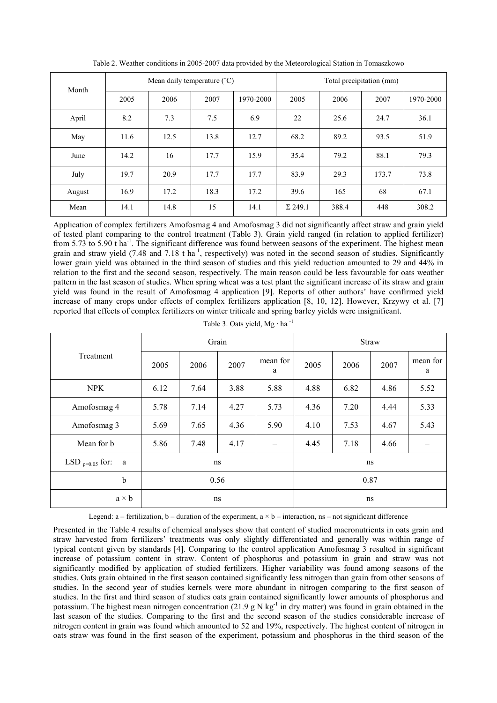| Month  | Mean daily temperature $(^{\circ}C)$ |      |      |           | Total precipitation (mm) |       |       |           |
|--------|--------------------------------------|------|------|-----------|--------------------------|-------|-------|-----------|
|        | 2005                                 | 2006 | 2007 | 1970-2000 | 2005                     | 2006  | 2007  | 1970-2000 |
| April  | 8.2                                  | 7.3  | 7.5  | 6.9       | 22                       | 25.6  | 24.7  | 36.1      |
| May    | 11.6                                 | 12.5 | 13.8 | 12.7      | 68.2                     | 89.2  | 93.5  | 51.9      |
| June   | 14.2                                 | 16   | 17.7 | 15.9      | 35.4                     | 79.2  | 88.1  | 79.3      |
| July   | 19.7                                 | 20.9 | 17.7 | 17.7      | 83.9                     | 29.3  | 173.7 | 73.8      |
| August | 16.9                                 | 17.2 | 18.3 | 17.2      | 39.6                     | 165   | 68    | 67.1      |
| Mean   | 14.1                                 | 14.8 | 15   | 14.1      | $\Sigma$ 249.1           | 388.4 | 448   | 308.2     |

Table 2. Weather conditions in 2005-2007 data provided by the Meteorological Station in Tomaszkowo

Application of complex fertilizers Amofosmag 4 and Amofosmag 3 did not significantly affect straw and grain yield of tested plant comparing to the control treatment (Table 3). Grain yield ranged (in relation to applied fertilizer) from 5.73 to 5.90 t ha<sup>-1</sup>. The significant difference was found between seasons of the experiment. The highest mean grain and straw yield (7.48 and 7.18 t ha<sup>-1</sup>, respectively) was noted in the second season of studies. Significantly lower grain yield was obtained in the third season of studies and this yield reduction amounted to 29 and 44% in relation to the first and the second season, respectively. The main reason could be less favourable for oats weather pattern in the last season of studies. When spring wheat was a test plant the significant increase of its straw and grain yield was found in the result of Amofosmag 4 application [9]. Reports of other authors' have confirmed yield increase of many crops under effects of complex fertilizers application [8, 10, 12]. However, Krzywy et al. [7] reported that effects of complex fertilizers on winter triticale and spring barley yields were insignificant.

|                                  |      |      | Grain |               | <b>Straw</b> |      |      |               |
|----------------------------------|------|------|-------|---------------|--------------|------|------|---------------|
| Treatment                        | 2005 | 2006 | 2007  | mean for<br>a | 2005         | 2006 | 2007 | mean for<br>a |
| <b>NPK</b>                       | 6.12 | 7.64 | 3.88  | 5.88          | 4.88         | 6.82 | 4.86 | 5.52          |
| Amofosmag 4                      | 5.78 | 7.14 | 4.27  | 5.73          | 4.36         | 7.20 | 4.44 | 5.33          |
| Amofosmag 3                      | 5.69 | 7.65 | 4.36  | 5.90          | 4.10         | 7.53 | 4.67 | 5.43          |
| Mean for b                       | 5.86 | 7.48 | 4.17  |               | 4.45         | 7.18 | 4.66 |               |
| LSD $_{\text{p}=0.05}$ for:<br>a |      |      | ns    |               | ns           |      |      |               |
| $\mathbf b$                      |      |      | 0.56  |               | 0.87         |      |      |               |
| $a \times b$                     | ns   |      |       |               | ns           |      |      |               |

Table 3. Oats yield, Mg · ha -1

Legend: a – fertilization, b – duration of the experiment,  $a \times b$  – interaction, ns – not significant difference

Presented in the Table 4 results of chemical analyses show that content of studied macronutrients in oats grain and straw harvested from fertilizers' treatments was only slightly differentiated and generally was within range of typical content given by standards [4]. Comparing to the control application Amofosmag 3 resulted in significant increase of potassium content in straw. Content of phosphorus and potassium in grain and straw was not significantly modified by application of studied fertilizers. Higher variability was found among seasons of the studies. Oats grain obtained in the first season contained significantly less nitrogen than grain from other seasons of studies. In the second year of studies kernels were more abundant in nitrogen comparing to the first season of studies. In the first and third season of studies oats grain contained significantly lower amounts of phosphorus and potassium. The highest mean nitrogen concentration  $(21.9 \text{ g N kg}^{-1}$  in dry matter) was found in grain obtained in the last season of the studies. Comparing to the first and the second season of the studies considerable increase of nitrogen content in grain was found which amounted to 52 and 19%, respectively. The highest content of nitrogen in oats straw was found in the first season of the experiment, potassium and phosphorus in the third season of the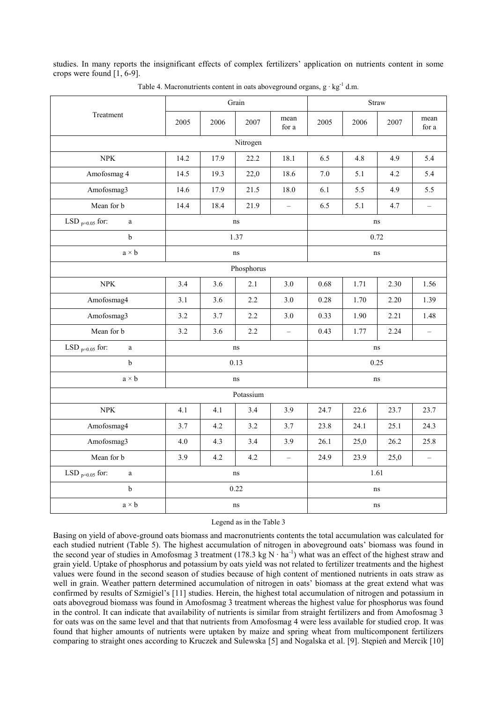studies. In many reports the insignificant effects of complex fertilizers' application on nutrients content in some crops were found [1, 6-9].

|                                      |          |      | Grain |                          | Straw   |      |      |                          |
|--------------------------------------|----------|------|-------|--------------------------|---------|------|------|--------------------------|
| Treatment                            | 2005     | 2006 | 2007  | mean<br>for a            | 2005    | 2006 | 2007 | mean<br>for a            |
| Nitrogen                             |          |      |       |                          |         |      |      |                          |
| ${\rm NPK}$                          | 14.2     | 17.9 | 22.2  | 18.1                     | 6.5     | 4.8  | 4.9  | 5.4                      |
| Amofosmag 4                          | 14.5     | 19.3 | 22,0  | 18.6                     | $7.0\,$ | 5.1  | 4.2  | 5.4                      |
| Amofosmag3                           | 14.6     | 17.9 | 21.5  | 18.0                     | 6.1     | 5.5  | 4.9  | 5.5                      |
| Mean for b                           | 14.4     | 18.4 | 21.9  | $\overline{\phantom{0}}$ | 6.5     | 5.1  | 4.7  | $\overline{\phantom{0}}$ |
| LSD $_{p=0.05}$ for:<br>$\rm{a}$     | ns<br>ns |      |       |                          |         |      |      |                          |
| $\mathbf b$                          |          |      | 1.37  |                          | 0.72    |      |      |                          |
| $a \times b$                         |          |      | ns    |                          |         | ns   |      |                          |
| Phosphorus                           |          |      |       |                          |         |      |      |                          |
| ${\rm NPK}$                          | 3.4      | 3.6  | 2.1   | 3.0                      | 0.68    | 1.71 | 2.30 | 1.56                     |
| Amofosmag4                           | 3.1      | 3.6  | 2.2   | 3.0                      | 0.28    | 1.70 | 2.20 | 1.39                     |
| Amofosmag3                           | 3.2      | 3.7  | 2.2   | 3.0                      | 0.33    | 1.90 | 2.21 | 1.48                     |
| Mean for b                           | 3.2      | 3.6  | 2.2   | $\overline{\phantom{0}}$ | 0.43    | 1.77 | 2.24 | $\equiv$                 |
| LSD $_{p=0.05}$ for:<br>a            | ns<br>ns |      |       |                          |         |      |      |                          |
| $\mathbf b$                          |          | 0.13 |       |                          | 0.25    |      |      |                          |
| $a \times b$                         | ns       |      |       |                          | ns      |      |      |                          |
| Potassium                            |          |      |       |                          |         |      |      |                          |
| ${\rm NPK}$                          | 4.1      | 4.1  | 3.4   | 3.9                      | 24.7    | 22.6 | 23.7 | 23.7                     |
| Amofosmag4                           | 3.7      | 4.2  | 3.2   | 3.7                      | 23.8    | 24.1 | 25.1 | 24.3                     |
| Amofosmag3                           | 4.0      | 4.3  | 3.4   | 3.9                      | 26.1    | 25,0 | 26.2 | 25.8                     |
| Mean for b                           | 3.9      | 4.2  | 4.2   | $\equiv$                 | 24.9    | 23.9 | 25,0 | $\overline{\phantom{0}}$ |
| LSD $_{\rm p=0.05}$ for:<br>$\rm{a}$ | ns       |      |       |                          | 1.61    |      |      |                          |
| $\rm b$                              | 0.22     |      |       |                          | ns      |      |      |                          |
| $a \times b$                         | ns       |      |       | ns                       |         |      |      |                          |

Table 4. Macronutrients content in oats aboveground organs,  $g \cdot kg^{-1}$  d.m.

Legend as in the Table 3

Basing on yield of above-ground oats biomass and macronutrients contents the total accumulation was calculated for each studied nutrient (Table 5). The highest accumulation of nitrogen in aboveground oats' biomass was found in the second year of studies in Amofosmag 3 treatment (178.3 kg N $\cdot$  ha<sup>-1</sup>) what was an effect of the highest straw and grain yield. Uptake of phosphorus and potassium by oats yield was not related to fertilizer treatments and the highest values were found in the second season of studies because of high content of mentioned nutrients in oats straw as well in grain. Weather pattern determined accumulation of nitrogen in oats' biomass at the great extend what was confirmed by results of Szmigiel's [11] studies. Herein, the highest total accumulation of nitrogen and potassium in oats abovegroud biomass was found in Amofosmag 3 treatment whereas the highest value for phosphorus was found in the control. It can indicate that availability of nutrients is similar from straight fertilizers and from Amofosmag 3 for oats was on the same level and that that nutrients from Amofosmag 4 were less available for studied crop. It was found that higher amounts of nutrients were uptaken by maize and spring wheat from multicomponent fertilizers comparing to straight ones according to Kruczek and Sulewska [5] and Nogalska et al. [9]. Stępień and Mercik [10]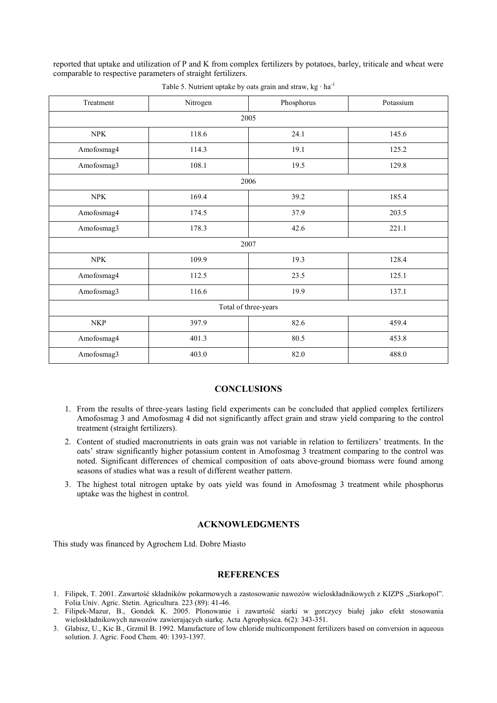reported that uptake and utilization of P and K from complex fertilizers by potatoes, barley, triticale and wheat were comparable to respective parameters of straight fertilizers.

| Treatment            | Nitrogen | Phosphorus | Potassium |  |  |  |  |
|----------------------|----------|------------|-----------|--|--|--|--|
| 2005                 |          |            |           |  |  |  |  |
| <b>NPK</b>           | 118.6    | 24.1       | 145.6     |  |  |  |  |
| Amofosmag4           | 114.3    | 19.1       | 125.2     |  |  |  |  |
| Amofosmag3           | 108.1    | 19.5       | 129.8     |  |  |  |  |
| 2006                 |          |            |           |  |  |  |  |
| <b>NPK</b>           | 169.4    | 39.2       | 185.4     |  |  |  |  |
| Amofosmag4           | 174.5    | 37.9       | 203.5     |  |  |  |  |
| Amofosmag3           | 178.3    | 42.6       | 221.1     |  |  |  |  |
| 2007                 |          |            |           |  |  |  |  |
| <b>NPK</b>           | 109.9    | 19.3       | 128.4     |  |  |  |  |
| Amofosmag4           | 112.5    | 23.5       | 125.1     |  |  |  |  |
| Amofosmag3           | 116.6    | 19.9       | 137.1     |  |  |  |  |
| Total of three-years |          |            |           |  |  |  |  |
| <b>NKP</b>           | 397.9    | 82.6       | 459.4     |  |  |  |  |
| Amofosmag4           | 401.3    | 80.5       | 453.8     |  |  |  |  |
| Amofosmag3           | 403.0    | 82.0       | 488.0     |  |  |  |  |

Table 5. Nutrient uptake by oats grain and straw,  $kg \cdot ha^{-1}$ 

#### **CONCLUSIONS**

- 1. From the results of three-years lasting field experiments can be concluded that applied complex fertilizers Amofosmag 3 and Amofosmag 4 did not significantly affect grain and straw yield comparing to the control treatment (straight fertilizers).
- 2. Content of studied macronutrients in oats grain was not variable in relation to fertilizers' treatments. In the oats' straw significantly higher potassium content in Amofosmag 3 treatment comparing to the control was noted. Significant differences of chemical composition of oats above-ground biomass were found among seasons of studies what was a result of different weather pattern.
- 3. The highest total nitrogen uptake by oats yield was found in Amofosmag 3 treatment while phosphorus uptake was the highest in control.

### **ACKNOWLEDGMENTS**

This study was financed by Agrochem Ltd. Dobre Miasto

## **REFERENCES**

- 1. Filipek, T. 2001. Zawartość składników pokarmowych a zastosowanie nawozów wieloskładnikowych z KIZPS "Siarkopol". Folia Univ. Agric. Stetin. Agricultura. 223 (89): 41-46.
- 2. Filipek-Mazur, B., Gondek K. 2005. Plonowanie i zawartość siarki w gorczycy białej jako efekt stosowania wieloskładnikowych nawozów zawierających siarkę. Acta Agrophysica. 6(2): 343-351.
- 3. Glabisz, U., Kic B., Grzmil B. 1992. Manufacture of low chloride multicomponent fertilizers based on conversion in aqueous solution. J. Agric. Food Chem. 40: 1393-1397.